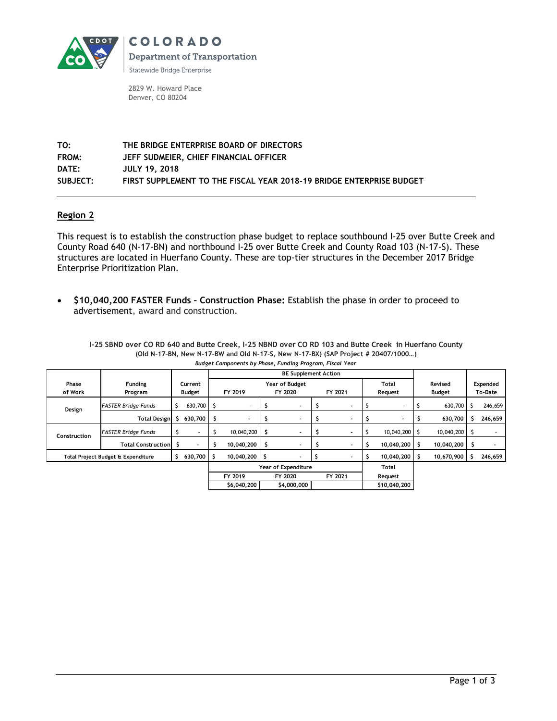

2829 W. Howard Place Denver, CO 80204

**TO: THE BRIDGE ENTERPRISE BOARD OF DIRECTORS FROM: JEFF SUDMEIER, CHIEF FINANCIAL OFFICER DATE: JULY 19, 2018 SUBJECT: FIRST SUPPLEMENT TO THE FISCAL YEAR 2018-19 BRIDGE ENTERPRISE BUDGET**

## **Region 2**

This request is to establish the construction phase budget to replace southbound I-25 over Butte Creek and County Road 640 (N-17-BN) and northbound I-25 over Butte Creek and County Road 103 (N-17-S). These structures are located in Huerfano County. These are top-tier structures in the December 2017 Bridge Enterprise Prioritization Plan.

 **\$10,040,200 FASTER Funds – Construction Phase:** Establish the phase in order to proceed to advertisement, award and construction.

**I-25 SBND over CO RD 640 and Butte Creek, I-25 NBND over CO RD 103 and Butte Creek in Huerfano County (Old N-17-BN, New N-17-BW and Old N-17-S, New N-17-BX) (SAP Project # 20407/1000…)** *Budget Components by Phase, Funding Program, Fiscal Year*

|              |                                    |         |                     | <b>BE Supplement Action</b> |             |         |             |         |         |         |               |               |            |         |          |  |
|--------------|------------------------------------|---------|---------------------|-----------------------------|-------------|---------|-------------|---------|---------|---------|---------------|---------------|------------|---------|----------|--|
| Phase        | <b>Funding</b>                     | Current |                     | Year of Budget              |             |         |             |         |         |         | Total         |               | Revised    |         | Expended |  |
| of Work      | Program                            | Budget  |                     | FY 2019                     |             | FY 2020 |             | FY 2021 |         | Request |               | <b>Budget</b> |            | To-Date |          |  |
| Design       | <b>FASTER Bridge Funds</b>         |         | 630,700             | 5                           |             |         |             |         |         |         |               |               | 630,700    |         | 246,659  |  |
|              | <b>Total Design</b>                | Ś       | 630,700             | \$                          | ۰           |         |             |         |         |         |               |               | 630,700    | s       | 246,659  |  |
| Construction | <b>FASTER Bridge Funds</b>         |         |                     |                             | 10,040,200  |         |             | P.      |         |         | 10,040,200 \$ |               | 10,040,200 |         |          |  |
|              | <b>Total Construction</b>          | S.      |                     | د                           | 10,040,200  |         |             | ÷.      |         |         | 10,040,200    | -S            | 10,040,200 | S       |          |  |
|              | Total Project Budget & Expenditure |         | 630,700             | s                           | 10,040,200  | \$      |             |         |         |         | 10,040,200    | -S            | 10,670,900 |         | 246,659  |  |
|              |                                    |         | Year of Expenditure |                             |             |         |             |         |         | Total   |               |               |            |         |          |  |
|              |                                    |         |                     |                             | FY 2019     |         | FY 2020     |         | FY 2021 |         | Request       |               |            |         |          |  |
|              |                                    |         |                     |                             | \$6,040,200 |         | \$4,000,000 |         |         |         | \$10,040,200  |               |            |         |          |  |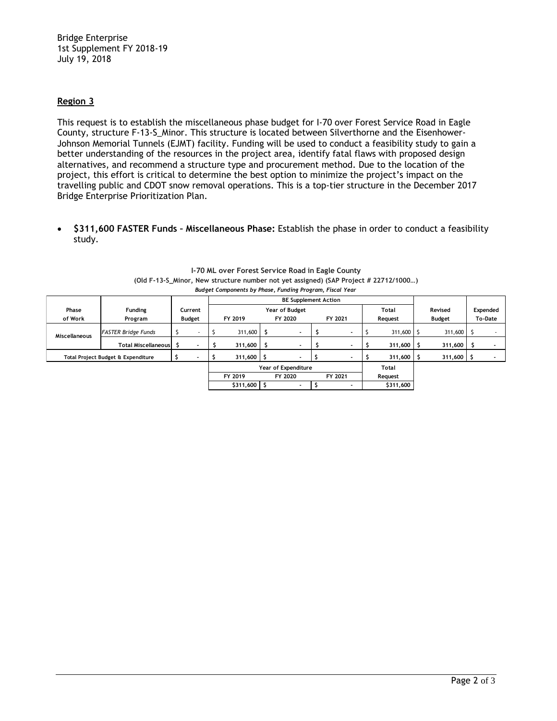Bridge Enterprise 1st Supplement FY 2018-19 July 19, 2018

## **Region 3**

This request is to establish the miscellaneous phase budget for I-70 over Forest Service Road in Eagle County, structure F-13-S\_Minor. This structure is located between Silverthorne and the Eisenhower-Johnson Memorial Tunnels (EJMT) facility. Funding will be used to conduct a feasibility study to gain a better understanding of the resources in the project area, identify fatal flaws with proposed design alternatives, and recommend a structure type and procurement method. Due to the location of the project, this effort is critical to determine the best option to minimize the project's impact on the travelling public and CDOT snow removal operations. This is a top-tier structure in the December 2017 Bridge Enterprise Prioritization Plan.

 **\$311,600 FASTER Funds – Miscellaneous Phase:** Establish the phase in order to conduct a feasibility study.

| Phase                              | <b>Funding</b>             | Current       |            | Year of Budget<br>Total |         |                          |         |         |           | Revised      | Expended      |         |  |
|------------------------------------|----------------------------|---------------|------------|-------------------------|---------|--------------------------|---------|---------|-----------|--------------|---------------|---------|--|
| of Work                            | Program                    | <b>Budget</b> |            | FY 2019                 | FY 2020 |                          | FY 2021 |         | Request   |              | <b>Budget</b> | To-Date |  |
| <b>Miscellaneous</b>               | <b>FASTER Bridge Funds</b> |               |            | $311,600$ \$            |         | $\overline{\phantom{a}}$ |         |         |           | $311,600$ \$ | 311,600 \$    |         |  |
|                                    | <b>Total Miscellaneous</b> |               |            | 311,600                 |         |                          |         |         |           | 311,600      | 311,600       |         |  |
| Total Project Budget & Expenditure |                            |               |            | $311,600$ \$            |         |                          |         |         |           | 311,600      | 311,600       |         |  |
|                                    |                            |               |            |                         |         | Year of Expenditure      |         |         |           | Total        |               |         |  |
|                                    |                            |               |            | FY 2019                 |         | FY 2020                  |         | FY 2021 |           | Request      |               |         |  |
|                                    |                            |               | $$311,600$ |                         |         |                          |         |         | \$311,600 |              |               |         |  |

| 1-70 ML over Forest Service Road in Eagle County                                     |
|--------------------------------------------------------------------------------------|
| (Old F-13-S Minor, New structure number not yet assigned) (SAP Project # 22712/1000) |
| Budget Components by Phase, Funding Program, Fiscal Year                             |